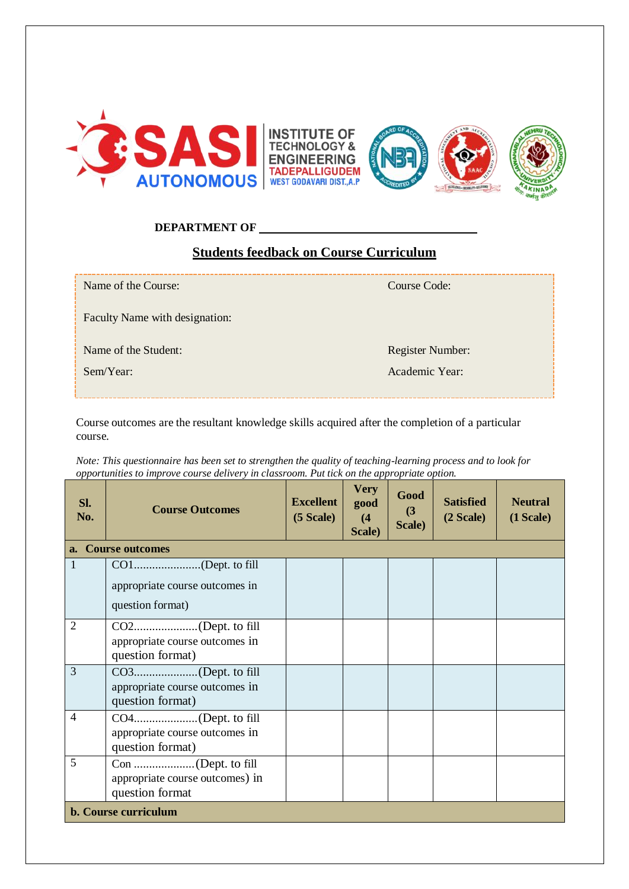

## **DEPARTMENT OF**

## **Students feedback on Course Curriculum**

| Name of the Course:            | Course Code:            |
|--------------------------------|-------------------------|
| Faculty Name with designation: |                         |
| Name of the Student:           | <b>Register Number:</b> |
| Sem/Year:                      | Academic Year:          |
|                                |                         |

Course outcomes are the resultant knowledge skills acquired after the completion of a particular course.

*Note: This questionnaire has been set to strengthen the quality of teaching-learning process and to look for opportunities to improve course delivery in classroom. Put tick on the appropriate option.*

| SI.<br>No.                  | <b>Course Outcomes</b>                             | <b>Excellent</b><br>(5 Scale) | <b>Very</b><br>good<br>(4)<br>Scale) | Good<br>(3)<br>Scale) | <b>Satisfied</b><br>(2 Scale) | <b>Neutral</b><br>(1 Scale) |  |
|-----------------------------|----------------------------------------------------|-------------------------------|--------------------------------------|-----------------------|-------------------------------|-----------------------------|--|
| a. Course outcomes          |                                                    |                               |                                      |                       |                               |                             |  |
|                             | appropriate course outcomes in<br>question format) |                               |                                      |                       |                               |                             |  |
| 2                           | appropriate course outcomes in<br>question format) |                               |                                      |                       |                               |                             |  |
| 3                           | appropriate course outcomes in<br>question format) |                               |                                      |                       |                               |                             |  |
| $\overline{4}$              | appropriate course outcomes in<br>question format) |                               |                                      |                       |                               |                             |  |
| 5                           | appropriate course outcomes) in<br>question format |                               |                                      |                       |                               |                             |  |
| <b>b. Course curriculum</b> |                                                    |                               |                                      |                       |                               |                             |  |